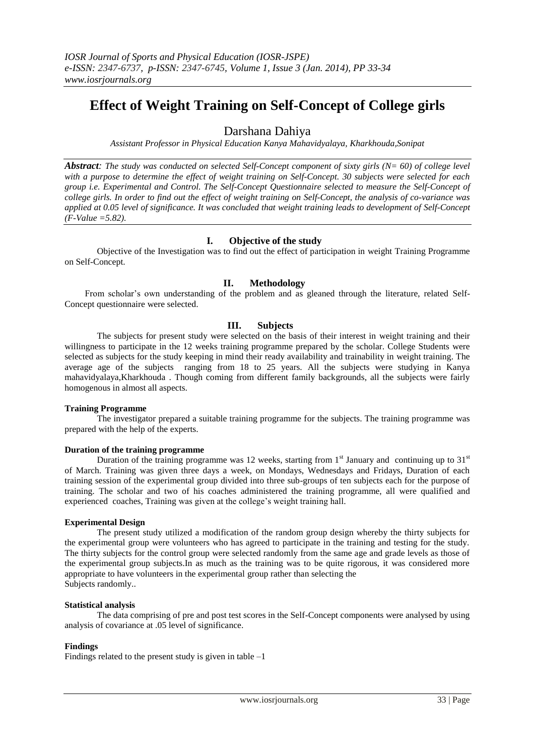# **Effect of Weight Training on Self-Concept of College girls**

# Darshana Dahiya

*Assistant Professor in Physical Education Kanya Mahavidyalaya, Kharkhouda,Sonipat*

*Abstract: The study was conducted on selected Self-Concept component of sixty girls (N= 60) of college level with a purpose to determine the effect of weight training on Self-Concept. 30 subjects were selected for each group i.e. Experimental and Control. The Self-Concept Questionnaire selected to measure the Self-Concept of college girls. In order to find out the effect of weight training on Self-Concept, the analysis of co-variance was applied at 0.05 level of significance. It was concluded that weight training leads to development of Self-Concept (F-Value =5.82).*

# **I. Objective of the study**

Objective of the Investigation was to find out the effect of participation in weight Training Programme on Self-Concept.

## **II. Methodology**

From scholar's own understanding of the problem and as gleaned through the literature, related Self-Concept questionnaire were selected.

## **III. Subjects**

The subjects for present study were selected on the basis of their interest in weight training and their willingness to participate in the 12 weeks training programme prepared by the scholar. College Students were selected as subjects for the study keeping in mind their ready availability and trainability in weight training. The average age of the subjects ranging from 18 to 25 years. All the subjects were studying in Kanya mahavidyalaya,Kharkhouda . Though coming from different family backgrounds, all the subjects were fairly homogenous in almost all aspects.

#### **Training Programme**

The investigator prepared a suitable training programme for the subjects. The training programme was prepared with the help of the experts.

#### **Duration of the training programme**

Duration of the training programme was 12 weeks, starting from  $1<sup>st</sup>$  January and continuing up to  $31<sup>st</sup>$ of March. Training was given three days a week, on Mondays, Wednesdays and Fridays, Duration of each training session of the experimental group divided into three sub-groups of ten subjects each for the purpose of training. The scholar and two of his coaches administered the training programme, all were qualified and experienced coaches, Training was given at the college's weight training hall.

#### **Experimental Design**

The present study utilized a modification of the random group design whereby the thirty subjects for the experimental group were volunteers who has agreed to participate in the training and testing for the study. The thirty subjects for the control group were selected randomly from the same age and grade levels as those of the experimental group subjects.In as much as the training was to be quite rigorous, it was considered more appropriate to have volunteers in the experimental group rather than selecting the Subjects randomly..

#### **Statistical analysis**

The data comprising of pre and post test scores in the Self-Concept components were analysed by using analysis of covariance at .05 level of significance.

#### **Findings**

Findings related to the present study is given in table  $-1$